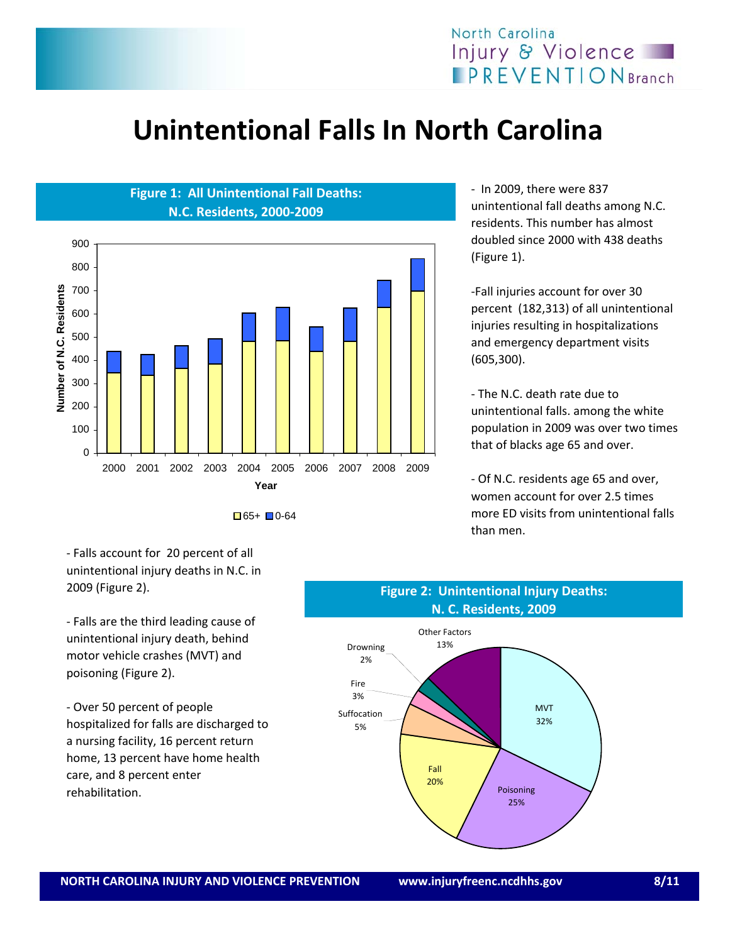

### **Unintentional Falls In North Carolina**



 $\Box$ 65+  $\Box$ 0-64

‐ In 2009, there were 837 unintentional fall deaths among N.C. residents. This number has almost doubled since 2000 with 438 deaths (Figure 1).

‐Fall injuries account for over 30 percent (182,313) of all unintentional injuries resulting in hospitalizations and emergency department visits (605,300).

‐ The N.C. death rate due to unintentional falls. among the white population in 2009 was over two times that of blacks age 65 and over.

‐ Of N.C. residents age 65 and over, women account for over 2.5 times more ED visits from unintentional falls than men.

‐ Falls account for 20 percent of all unintentional injury deaths in N.C. in 2009 (Figure 2).

‐ Falls are the third leading cause of unintentional injury death, behind motor vehicle crashes (MVT) and poisoning (Figure 2).

‐ Over 50 percent of people hospitalized for falls are discharged to a nursing facility, 16 percent return home, 13 percent have home health care, and 8 percent enter rehabilitation.